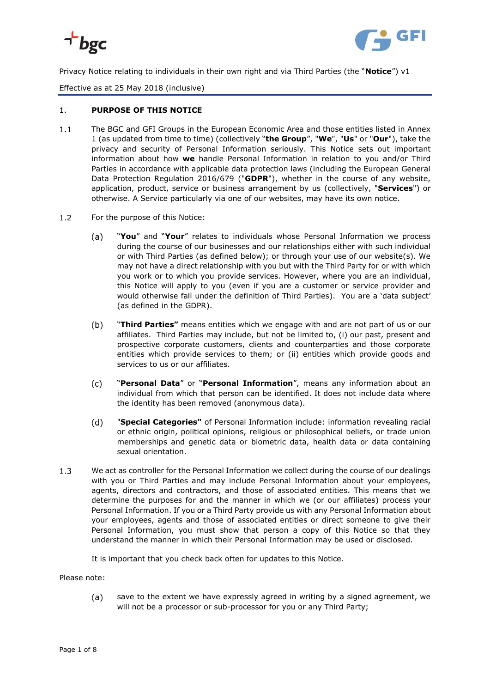



Privacy Notice relating to individuals in their own right and via Third Parties (the "**Notice**") v1

Effective as at 25 May 2018 (inclusive)

## 1. **PURPOSE OF THIS NOTICE**

- $1.1$ The BGC and GFI Groups in the European Economic Area and those entities listed in Annex 1 (as updated from time to time) (collectively "**the Group**", "**We**", "**Us**" or "**Our**"), take the privacy and security of Personal Information seriously. This Notice sets out important information about how **we** handle Personal Information in relation to you and/or Third Parties in accordance with applicable data protection laws (including the European General Data Protection Regulation 2016/679 ("**GDPR**"), whether in the course of any website, application, product, service or business arrangement by us (collectively, "**Services**") or otherwise. A Service particularly via one of our websites, may have its own notice.
- $1.2$ For the purpose of this Notice:
	- "**You**" and "**Your**" relates to individuals whose Personal Information we process  $(a)$ during the course of our businesses and our relationships either with such individual or with Third Parties (as defined below); or through your use of our website(s). We may not have a direct relationship with you but with the Third Party for or with which you work or to which you provide services. However, where you are an individual, this Notice will apply to you (even if you are a customer or service provider and would otherwise fall under the definition of Third Parties). You are a 'data subject' (as defined in the GDPR).
	- $(b)$ "**Third Parties"** means entities which we engage with and are not part of us or our affiliates. Third Parties may include, but not be limited to, (i) our past, present and prospective corporate customers, clients and counterparties and those corporate entities which provide services to them; or (ii) entities which provide goods and services to us or our affiliates.
	- "**Personal Data**" or "**Personal Information**", means any information about an  $(c)$ individual from which that person can be identified. It does not include data where the identity has been removed (anonymous data).
	- "**Special Categories"** of Personal Information include: information revealing racial  $(d)$ or ethnic origin, political opinions, religious or philosophical beliefs, or trade union memberships and genetic data or biometric data, health data or data containing sexual orientation.
- $1.3$ We act as controller for the Personal Information we collect during the course of our dealings with you or Third Parties and may include Personal Information about your employees, agents, directors and contractors, and those of associated entities. This means that we determine the purposes for and the manner in which we (or our affiliates) process your Personal Information. If you or a Third Party provide us with any Personal Information about your employees, agents and those of associated entities or direct someone to give their Personal Information, you must show that person a copy of this Notice so that they understand the manner in which their Personal Information may be used or disclosed.

It is important that you check back often for updates to this Notice.

Please note:

 $(a)$ save to the extent we have expressly agreed in writing by a signed agreement, we will not be a processor or sub-processor for you or any Third Party;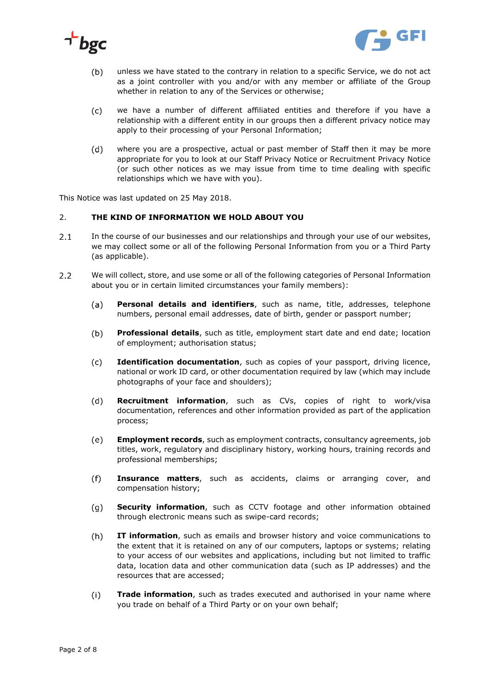



- $(b)$ unless we have stated to the contrary in relation to a specific Service, we do not act as a joint controller with you and/or with any member or affiliate of the Group whether in relation to any of the Services or otherwise;
- we have a number of different affiliated entities and therefore if you have a  $(c)$ relationship with a different entity in our groups then a different privacy notice may apply to their processing of your Personal Information;
- $(d)$ where you are a prospective, actual or past member of Staff then it may be more appropriate for you to look at our Staff Privacy Notice or Recruitment Privacy Notice (or such other notices as we may issue from time to time dealing with specific relationships which we have with you).

This Notice was last updated on 25 May 2018.

### 2. **THE KIND OF INFORMATION WE HOLD ABOUT YOU**

- $2.1$ In the course of our businesses and our relationships and through your use of our websites, we may collect some or all of the following Personal Information from you or a Third Party (as applicable).
- $2.2$ We will collect, store, and use some or all of the following categories of Personal Information about you or in certain limited circumstances your family members):
	- **Personal details and identifiers**, such as name, title, addresses, telephone  $(a)$ numbers, personal email addresses, date of birth, gender or passport number;
	- $(b)$ **Professional details**, such as title, employment start date and end date; location of employment; authorisation status;
	- $(c)$ **Identification documentation**, such as copies of your passport, driving licence, national or work ID card, or other documentation required by law (which may include photographs of your face and shoulders);
	- $(d)$ **Recruitment information**, such as CVs, copies of right to work/visa documentation, references and other information provided as part of the application process;
	- $(e)$ **Employment records**, such as employment contracts, consultancy agreements, job titles, work, regulatory and disciplinary history, working hours, training records and professional memberships;
	- $(f)$ **Insurance matters**, such as accidents, claims or arranging cover, and compensation history;
	- $(q)$ **Security information**, such as CCTV footage and other information obtained through electronic means such as swipe-card records;
	- **IT information**, such as emails and browser history and voice communications to  $(h)$ the extent that it is retained on any of our computers, laptops or systems; relating to your access of our websites and applications, including but not limited to traffic data, location data and other communication data (such as IP addresses) and the resources that are accessed;
	- $(i)$ **Trade information**, such as trades executed and authorised in your name where you trade on behalf of a Third Party or on your own behalf;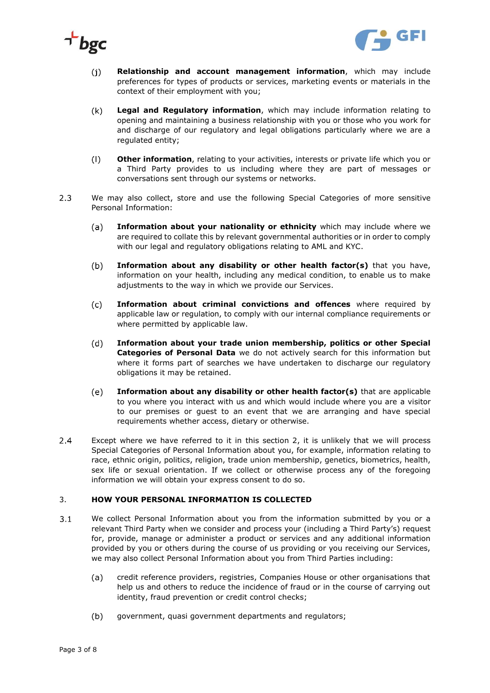



- $(i)$ **Relationship and account management information**, which may include preferences for types of products or services, marketing events or materials in the context of their employment with you;
- $(k)$ **Legal and Regulatory information**, which may include information relating to opening and maintaining a business relationship with you or those who you work for and discharge of our regulatory and legal obligations particularly where we are a regulated entity;
- $(1)$ **Other information**, relating to your activities, interests or private life which you or a Third Party provides to us including where they are part of messages or conversations sent through our systems or networks.
- $2.3$ We may also collect, store and use the following Special Categories of more sensitive Personal Information:
	- $(a)$ **Information about your nationality or ethnicity** which may include where we are required to collate this by relevant governmental authorities or in order to comply with our legal and regulatory obligations relating to AML and KYC.
	- $(b)$ **Information about any disability or other health factor(s)** that you have, information on your health, including any medical condition, to enable us to make adjustments to the way in which we provide our Services.
	- **Information about criminal convictions and offences** where required by  $(c)$ applicable law or regulation, to comply with our internal compliance requirements or where permitted by applicable law.
	- $(d)$ **Information about your trade union membership, politics or other Special Categories of Personal Data** we do not actively search for this information but where it forms part of searches we have undertaken to discharge our regulatory obligations it may be retained.
	- $(e)$ **Information about any disability or other health factor(s)** that are applicable to you where you interact with us and which would include where you are a visitor to our premises or guest to an event that we are arranging and have special requirements whether access, dietary or otherwise.
- $2.4$ Except where we have referred to it in this section 2, it is unlikely that we will process Special Categories of Personal Information about you, for example, information relating to race, ethnic origin, politics, religion, trade union membership, genetics, biometrics, health, sex life or sexual orientation. If we collect or otherwise process any of the foregoing information we will obtain your express consent to do so.

# 3. **HOW YOUR PERSONAL INFORMATION IS COLLECTED**

- $3.1$ We collect Personal Information about you from the information submitted by you or a relevant Third Party when we consider and process your (including a Third Party's) request for, provide, manage or administer a product or services and any additional information provided by you or others during the course of us providing or you receiving our Services, we may also collect Personal Information about you from Third Parties including:
	- $(a)$ credit reference providers, registries, Companies House or other organisations that help us and others to reduce the incidence of fraud or in the course of carrying out identity, fraud prevention or credit control checks;
	- $(b)$ government, quasi government departments and regulators;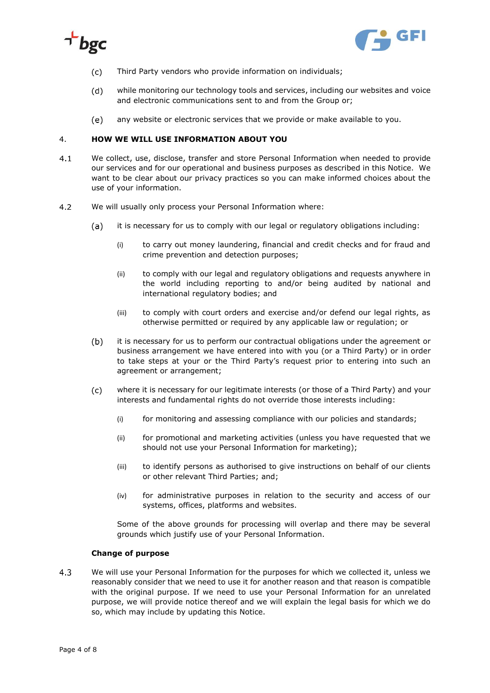



- $(c)$ Third Party vendors who provide information on individuals;
- $(d)$ while monitoring our technology tools and services, including our websites and voice and electronic communications sent to and from the Group or;
- $(e)$ any website or electronic services that we provide or make available to you.

## 4. **HOW WE WILL USE INFORMATION ABOUT YOU**

- $4.1$ We collect, use, disclose, transfer and store Personal Information when needed to provide our services and for our operational and business purposes as described in this Notice. We want to be clear about our privacy practices so you can make informed choices about the use of your information.
- $4.2$ We will usually only process your Personal Information where:
	- it is necessary for us to comply with our legal or regulatory obligations including:  $(a)$ 
		- (i) to carry out money laundering, financial and credit checks and for fraud and crime prevention and detection purposes;
		- (ii) to comply with our legal and regulatory obligations and requests anywhere in the world including reporting to and/or being audited by national and international regulatory bodies; and
		- (iii) to comply with court orders and exercise and/or defend our legal rights, as otherwise permitted or required by any applicable law or regulation; or
	- $(b)$ it is necessary for us to perform our contractual obligations under the agreement or business arrangement we have entered into with you (or a Third Party) or in order to take steps at your or the Third Party's request prior to entering into such an agreement or arrangement;
	- $(c)$ where it is necessary for our legitimate interests (or those of a Third Party) and your interests and fundamental rights do not override those interests including:
		- (i) for monitoring and assessing compliance with our policies and standards;
		- (ii) for promotional and marketing activities (unless you have requested that we should not use your Personal Information for marketing);
		- (iii) to identify persons as authorised to give instructions on behalf of our clients or other relevant Third Parties; and;
		- (iv) for administrative purposes in relation to the security and access of our systems, offices, platforms and websites.

Some of the above grounds for processing will overlap and there may be several grounds which justify use of your Personal Information.

### **Change of purpose**

 $4.3$ We will use your Personal Information for the purposes for which we collected it, unless we reasonably consider that we need to use it for another reason and that reason is compatible with the original purpose. If we need to use your Personal Information for an unrelated purpose, we will provide notice thereof and we will explain the legal basis for which we do so, which may include by updating this Notice.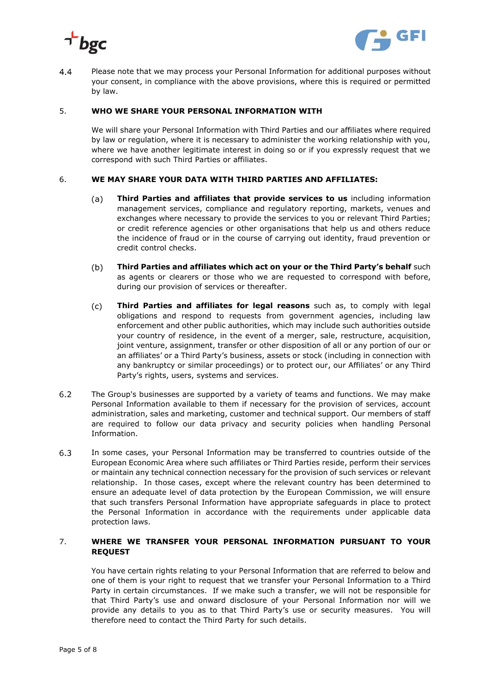



Please note that we may process your Personal Information for additional purposes without  $4.4$ your consent, in compliance with the above provisions, where this is required or permitted by law.

## 5. **WHO WE SHARE YOUR PERSONAL INFORMATION WITH**

We will share your Personal Information with Third Parties and our affiliates where required by law or regulation, where it is necessary to administer the working relationship with you, where we have another legitimate interest in doing so or if you expressly request that we correspond with such Third Parties or affiliates.

### 6. **WE MAY SHARE YOUR DATA WITH THIRD PARTIES AND AFFILIATES:**

- **Third Parties and affiliates that provide services to us** including information  $(a)$ management services, compliance and regulatory reporting, markets, venues and exchanges where necessary to provide the services to you or relevant Third Parties; or credit reference agencies or other organisations that help us and others reduce the incidence of fraud or in the course of carrying out identity, fraud prevention or credit control checks.
- $(b)$ **Third Parties and affiliates which act on your or the Third Party's behalf** such as agents or clearers or those who we are requested to correspond with before, during our provision of services or thereafter.
- $(c)$ **Third Parties and affiliates for legal reasons** such as, to comply with legal obligations and respond to requests from government agencies, including law enforcement and other public authorities, which may include such authorities outside your country of residence, in the event of a merger, sale, restructure, acquisition, joint venture, assignment, transfer or other disposition of all or any portion of our or an affiliates' or a Third Party's business, assets or stock (including in connection with any bankruptcy or similar proceedings) or to protect our, our Affiliates' or any Third Party's rights, users, systems and services.
- $6.2$ The Group's businesses are supported by a variety of teams and functions. We may make Personal Information available to them if necessary for the provision of services, account administration, sales and marketing, customer and technical support. Our members of staff are required to follow our data privacy and security policies when handling Personal Information.
- 6.3 In some cases, your Personal Information may be transferred to countries outside of the European Economic Area where such affiliates or Third Parties reside, perform their services or maintain any technical connection necessary for the provision of such services or relevant relationship. In those cases, except where the relevant country has been determined to ensure an adequate level of data protection by the European Commission, we will ensure that such transfers Personal Information have appropriate safeguards in place to protect the Personal Information in accordance with the requirements under applicable data protection laws.

## 7. **WHERE WE TRANSFER YOUR PERSONAL INFORMATION PURSUANT TO YOUR REQUEST**

You have certain rights relating to your Personal Information that are referred to below and one of them is your right to request that we transfer your Personal Information to a Third Party in certain circumstances. If we make such a transfer, we will not be responsible for that Third Party's use and onward disclosure of your Personal Information nor will we provide any details to you as to that Third Party's use or security measures. You will therefore need to contact the Third Party for such details.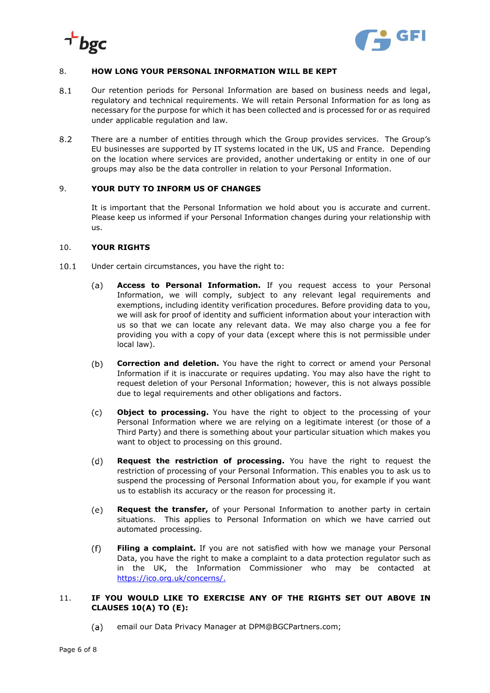



## 8. **HOW LONG YOUR PERSONAL INFORMATION WILL BE KEPT**

- $8.1$ Our retention periods for Personal Information are based on business needs and legal, regulatory and technical requirements. We will retain Personal Information for as long as necessary for the purpose for which it has been collected and is processed for or as required under applicable regulation and law.
- $8.2$ There are a number of entities through which the Group provides services. The Group's EU businesses are supported by IT systems located in the UK, US and France. Depending on the location where services are provided, another undertaking or entity in one of our groups may also be the data controller in relation to your Personal Information.

## 9. **YOUR DUTY TO INFORM US OF CHANGES**

It is important that the Personal Information we hold about you is accurate and current. Please keep us informed if your Personal Information changes during your relationship with us.

#### 10. **YOUR RIGHTS**

- $10.1$ Under certain circumstances, you have the right to:
	- $(a)$ **Access to Personal Information.** If you request access to your Personal Information, we will comply, subject to any relevant legal requirements and exemptions, including identity verification procedures. Before providing data to you, we will ask for proof of identity and sufficient information about your interaction with us so that we can locate any relevant data. We may also charge you a fee for providing you with a copy of your data (except where this is not permissible under local law).
	- $(b)$ **Correction and deletion.** You have the right to correct or amend your Personal Information if it is inaccurate or requires updating. You may also have the right to request deletion of your Personal Information; however, this is not always possible due to legal requirements and other obligations and factors.
	- $(c)$ **Object to processing.** You have the right to object to the processing of your Personal Information where we are relying on a legitimate interest (or those of a Third Party) and there is something about your particular situation which makes you want to object to processing on this ground.
	- $(d)$ **Request the restriction of processing.** You have the right to request the restriction of processing of your Personal Information. This enables you to ask us to suspend the processing of Personal Information about you, for example if you want us to establish its accuracy or the reason for processing it.
	- $(e)$ **Request the transfer,** of your Personal Information to another party in certain situations. This applies to Personal Information on which we have carried out automated processing.
	- $(f)$ **Filing a complaint.** If you are not satisfied with how we manage your Personal Data, you have the right to make a complaint to a data protection regulator such as in the UK, the Information Commissioner who may be contacted at [https://ico.org.uk/concerns/.](http://ico.org.uk/concerns/)

## 11. **IF YOU WOULD LIKE TO EXERCISE ANY OF THE RIGHTS SET OUT ABOVE IN CLAUSES 10(A) TO (E):**

<span id="page-5-0"></span>(a) email our Data Privacy Manager at DPM@BGCPartners.com;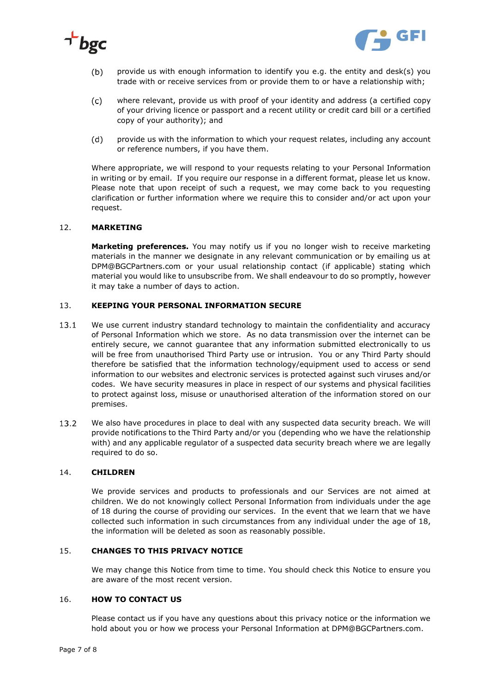



- $(b)$ provide us with enough information to identify you e.g. the entity and desk(s) you trade with or receive services from or provide them to or have a relationship with;
- $(c)$ where relevant, provide us with proof of your identity and address (a certified copy of your driving licence or passport and a recent utility or credit card bill or a certified copy of your authority); and
- $(d)$ provide us with the information to which your request relates, including any account or reference numbers, if you have them.

Where appropriate, we will respond to your requests relating to your Personal Information in writing or by email. If you require our response in a different format, please let us know. Please note that upon receipt of such a request, we may come back to you requesting clarification or further information where we require this to consider and/or act upon your request.

#### 12. **MARKETING**

**Marketing preferences.** You may notify us if you no longer wish to receive marketing materials in the manner we designate in any relevant communication or by emailing us at [DPM@BGCPartners.com](#page-5-0) or your usual relationship contact (if applicable) stating which material you would like to unsubscribe from. We shall endeavour to do so promptly, however it may take a number of days to action.

### 13. **KEEPING YOUR PERSONAL INFORMATION SECURE**

- 13.1 We use current industry standard technology to maintain the confidentiality and accuracy of Personal Information which we store. As no data transmission over the internet can be entirely secure, we cannot guarantee that any information submitted electronically to us will be free from unauthorised Third Party use or intrusion. You or any Third Party should therefore be satisfied that the information technology/equipment used to access or send information to our websites and electronic services is protected against such viruses and/or codes. We have security measures in place in respect of our systems and physical facilities to protect against loss, misuse or unauthorised alteration of the information stored on our premises.
- $13.2$ We also have procedures in place to deal with any suspected data security breach. We will provide notifications to the Third Party and/or you (depending who we have the relationship with) and any applicable regulator of a suspected data security breach where we are legally required to do so.

## 14. **CHILDREN**

We provide services and products to professionals and our Services are not aimed at children. We do not knowingly collect Personal Information from individuals under the age of 18 during the course of providing our services. In the event that we learn that we have collected such information in such circumstances from any individual under the age of 18, the information will be deleted as soon as reasonably possible.

### 15. **CHANGES TO THIS PRIVACY NOTICE**

We may change this Notice from time to time. You should check this Notice to ensure you are aware of the most recent version.

# 16. **HOW TO CONTACT US**

Please contact us if you have any questions about this privacy notice or the information we hold about you or how we process your Personal Information at [DPM@BGCPartners.com.](#page-5-0)